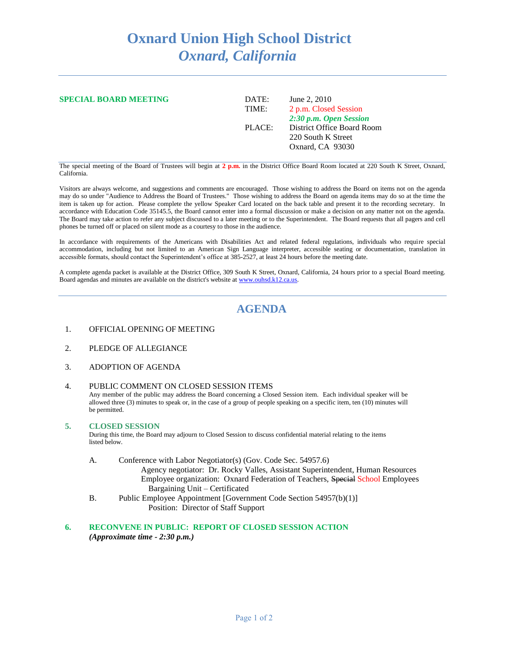# **Oxnard Union High School District** *Oxnard, California*

# **SPECIAL BOARD MEETING** DATE: June 2, 2010

TIME: 2 p.m. Closed Session *2:30 p.m. Open Session* PLACE: District Office Board Room 220 South K Street Oxnard, CA 93030

The special meeting of the Board of Trustees will begin at **2 p.m.** in the District Office Board Room located at 220 South K Street, Oxnard, California.

Visitors are always welcome, and suggestions and comments are encouraged. Those wishing to address the Board on items not on the agenda may do so under "Audience to Address the Board of Trustees." Those wishing to address the Board on agenda items may do so at the time the item is taken up for action. Please complete the yellow Speaker Card located on the back table and present it to the recording secretary. In accordance with Education Code 35145.5, the Board cannot enter into a formal discussion or make a decision on any matter not on the agenda. The Board may take action to refer any subject discussed to a later meeting or to the Superintendent. The Board requests that all pagers and cell phones be turned off or placed on silent mode as a courtesy to those in the audience.

In accordance with requirements of the Americans with Disabilities Act and related federal regulations, individuals who require special accommodation, including but not limited to an American Sign Language interpreter, accessible seating or documentation, translation in accessible formats, should contact the Superintendent's office at 385-2527, at least 24 hours before the meeting date.

A complete agenda packet is available at the District Office, 309 South K Street, Oxnard, California, 24 hours prior to a special Board meeting. Board agendas and minutes are available on the district's website a[t www.ouhsd.k12.ca.us.](http://www.ouhsd.k12.ca.us/)

# **AGENDA**

- 1. OFFICIAL OPENING OF MEETING
- 2. PLEDGE OF ALLEGIANCE
- 3. ADOPTION OF AGENDA

### 4. PUBLIC COMMENT ON CLOSED SESSION ITEMS

Any member of the public may address the Board concerning a Closed Session item. Each individual speaker will be allowed three (3) minutes to speak or, in the case of a group of people speaking on a specific item, ten (10) minutes will be permitted.

#### **5. CLOSED SESSION**

During this time, the Board may adjourn to Closed Session to discuss confidential material relating to the items listed below.

- A. Conference with Labor Negotiator(s) (Gov. Code Sec. 54957.6) Agency negotiator: Dr. Rocky Valles, Assistant Superintendent, Human Resources Employee organization: Oxnard Federation of Teachers, Special School Employees Bargaining Unit – Certificated
- B. Public Employee Appointment [Government Code Section 54957(b)(1)] Position: Director of Staff Support

#### **6. RECONVENE IN PUBLIC: REPORT OF CLOSED SESSION ACTION** *(Approximate time - 2:30 p.m.)*